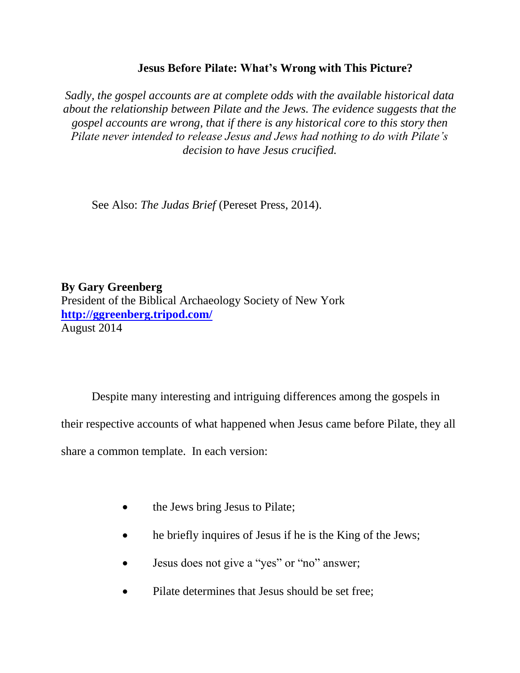## **Jesus Before Pilate: What's Wrong with This Picture?**

*Sadly, the gospel accounts are at complete odds with the available historical data about the relationship between Pilate and the Jews. The evidence suggests that the gospel accounts are wrong, that if there is any historical core to this story then Pilate never intended to release Jesus and Jews had nothing to do with Pilate's decision to have Jesus crucified.*

See Also: *The Judas Brief* (Pereset Press, 2014).

## **By Gary Greenberg**

President of the Biblical Archaeology Society of New York **<http://ggreenberg.tripod.com/>** August 2014

Despite many interesting and intriguing differences among the gospels in

their respective accounts of what happened when Jesus came before Pilate, they all

share a common template. In each version:

- the Jews bring Jesus to Pilate;
- he briefly inquires of Jesus if he is the King of the Jews;
- Jesus does not give a "yes" or "no" answer;
- Pilate determines that Jesus should be set free;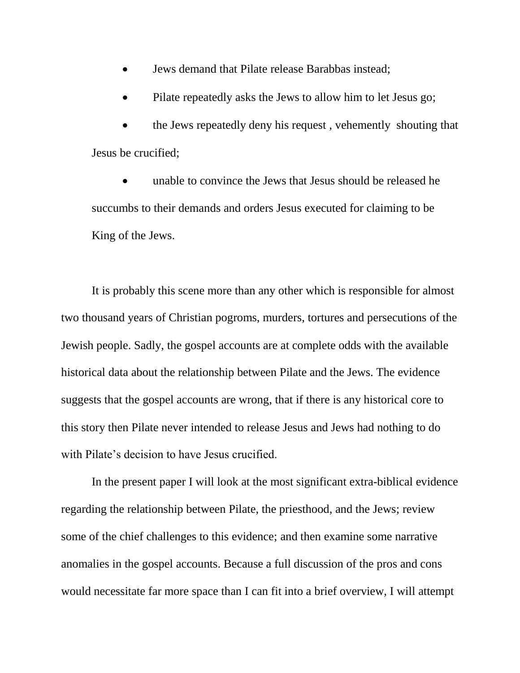- Jews demand that Pilate release Barabbas instead;
- Pilate repeatedly asks the Jews to allow him to let Jesus go;

 the Jews repeatedly deny his request , vehemently shouting that Jesus be crucified;

 unable to convince the Jews that Jesus should be released he succumbs to their demands and orders Jesus executed for claiming to be King of the Jews.

It is probably this scene more than any other which is responsible for almost two thousand years of Christian pogroms, murders, tortures and persecutions of the Jewish people. Sadly, the gospel accounts are at complete odds with the available historical data about the relationship between Pilate and the Jews. The evidence suggests that the gospel accounts are wrong, that if there is any historical core to this story then Pilate never intended to release Jesus and Jews had nothing to do with Pilate's decision to have Jesus crucified.

In the present paper I will look at the most significant extra-biblical evidence regarding the relationship between Pilate, the priesthood, and the Jews; review some of the chief challenges to this evidence; and then examine some narrative anomalies in the gospel accounts. Because a full discussion of the pros and cons would necessitate far more space than I can fit into a brief overview, I will attempt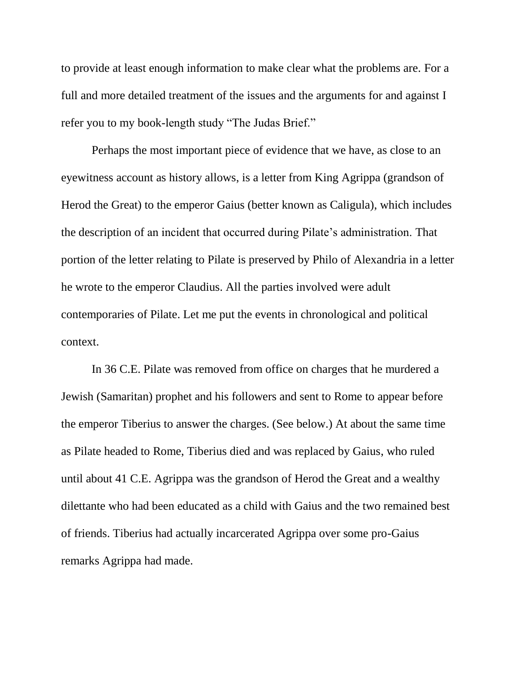to provide at least enough information to make clear what the problems are. For a full and more detailed treatment of the issues and the arguments for and against I refer you to my book-length study "The Judas Brief."

Perhaps the most important piece of evidence that we have, as close to an eyewitness account as history allows, is a letter from King Agrippa (grandson of Herod the Great) to the emperor Gaius (better known as Caligula), which includes the description of an incident that occurred during Pilate's administration. That portion of the letter relating to Pilate is preserved by Philo of Alexandria in a letter he wrote to the emperor Claudius. All the parties involved were adult contemporaries of Pilate. Let me put the events in chronological and political context.

In 36 C.E. Pilate was removed from office on charges that he murdered a Jewish (Samaritan) prophet and his followers and sent to Rome to appear before the emperor Tiberius to answer the charges. (See below.) At about the same time as Pilate headed to Rome, Tiberius died and was replaced by Gaius, who ruled until about 41 C.E. Agrippa was the grandson of Herod the Great and a wealthy dilettante who had been educated as a child with Gaius and the two remained best of friends. Tiberius had actually incarcerated Agrippa over some pro-Gaius remarks Agrippa had made.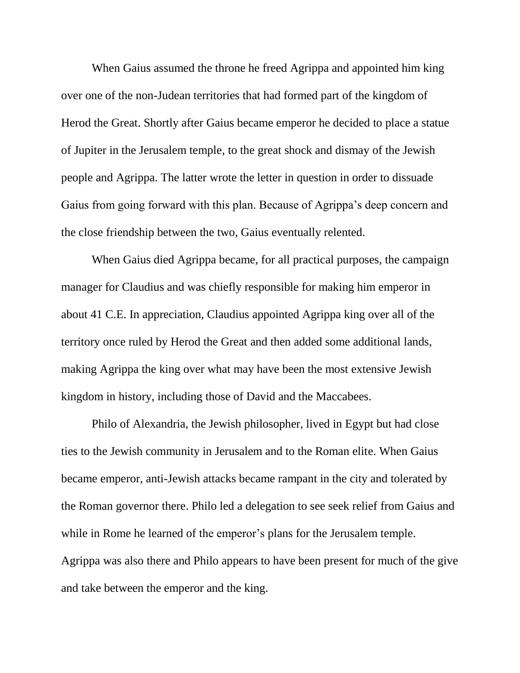When Gaius assumed the throne he freed Agrippa and appointed him king over one of the non-Judean territories that had formed part of the kingdom of Herod the Great. Shortly after Gaius became emperor he decided to place a statue of Jupiter in the Jerusalem temple, to the great shock and dismay of the Jewish people and Agrippa. The latter wrote the letter in question in order to dissuade Gaius from going forward with this plan. Because of Agrippa's deep concern and the close friendship between the two, Gaius eventually relented.

When Gaius died Agrippa became, for all practical purposes, the campaign manager for Claudius and was chiefly responsible for making him emperor in about 41 C.E. In appreciation, Claudius appointed Agrippa king over all of the territory once ruled by Herod the Great and then added some additional lands, making Agrippa the king over what may have been the most extensive Jewish kingdom in history, including those of David and the Maccabees.

Philo of Alexandria, the Jewish philosopher, lived in Egypt but had close ties to the Jewish community in Jerusalem and to the Roman elite. When Gaius became emperor, anti-Jewish attacks became rampant in the city and tolerated by the Roman governor there. Philo led a delegation to see seek relief from Gaius and while in Rome he learned of the emperor's plans for the Jerusalem temple. Agrippa was also there and Philo appears to have been present for much of the give and take between the emperor and the king.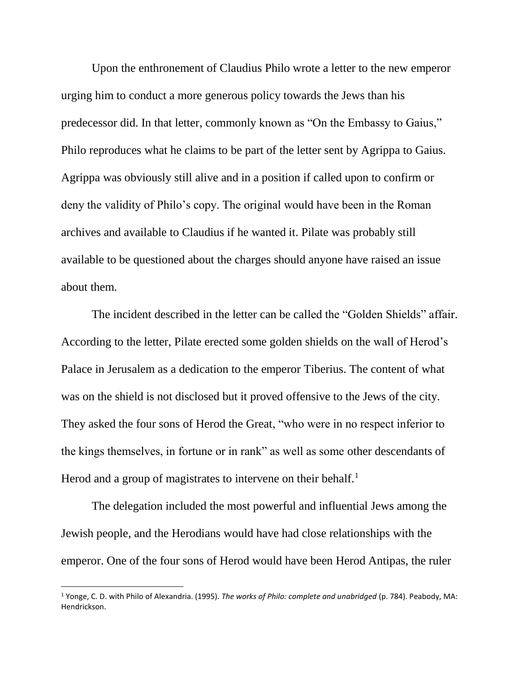Upon the enthronement of Claudius Philo wrote a letter to the new emperor urging him to conduct a more generous policy towards the Jews than his predecessor did. In that letter, commonly known as "On the Embassy to Gaius," Philo reproduces what he claims to be part of the letter sent by Agrippa to Gaius. Agrippa was obviously still alive and in a position if called upon to confirm or deny the validity of Philo's copy. The original would have been in the Roman archives and available to Claudius if he wanted it. Pilate was probably still available to be questioned about the charges should anyone have raised an issue about them.

The incident described in the letter can be called the "Golden Shields" affair. According to the letter, Pilate erected some golden shields on the wall of Herod's Palace in Jerusalem as a dedication to the emperor Tiberius. The content of what was on the shield is not disclosed but it proved offensive to the Jews of the city. They asked the four sons of Herod the Great, "who were in no respect inferior to the kings themselves, in fortune or in rank" as well as some other descendants of Herod and a group of magistrates to intervene on their behalf.<sup>1</sup>

The delegation included the most powerful and influential Jews among the Jewish people, and the Herodians would have had close relationships with the emperor. One of the four sons of Herod would have been Herod Antipas, the ruler

<sup>1</sup> Yonge, C. D. with Philo of Alexandria. (1995). *The works of Philo: complete and unabridged* (p. 784). Peabody, MA: Hendrickson.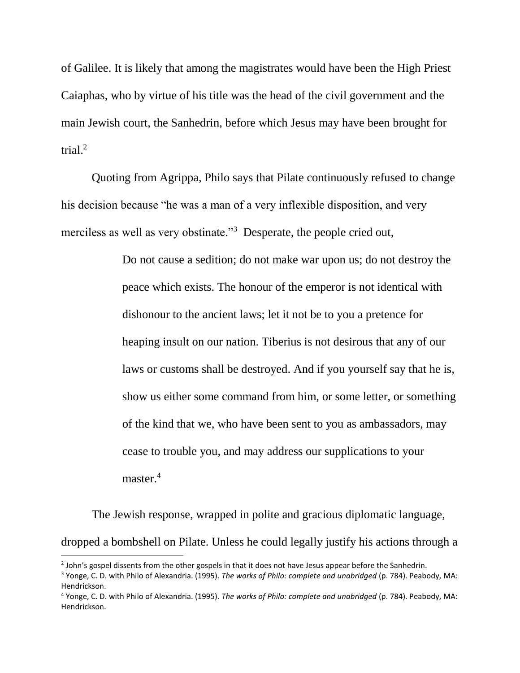of Galilee. It is likely that among the magistrates would have been the High Priest Caiaphas, who by virtue of his title was the head of the civil government and the main Jewish court, the Sanhedrin, before which Jesus may have been brought for trial. $^2$ 

Quoting from Agrippa, Philo says that Pilate continuously refused to change his decision because "he was a man of a very inflexible disposition, and very merciless as well as very obstinate."<sup>3</sup> Desperate, the people cried out,

> Do not cause a sedition; do not make war upon us; do not destroy the peace which exists. The honour of the emperor is not identical with dishonour to the ancient laws; let it not be to you a pretence for heaping insult on our nation. Tiberius is not desirous that any of our laws or customs shall be destroyed. And if you yourself say that he is, show us either some command from him, or some letter, or something of the kind that we, who have been sent to you as ambassadors, may cease to trouble you, and may address our supplications to your master.<sup>4</sup>

The Jewish response, wrapped in polite and gracious diplomatic language, dropped a bombshell on Pilate. Unless he could legally justify his actions through a

 $^2$  John's gospel dissents from the other gospels in that it does not have Jesus appear before the Sanhedrin.

<sup>3</sup> Yonge, C. D. with Philo of Alexandria. (1995). *The works of Philo: complete and unabridged* (p. 784). Peabody, MA: Hendrickson.

<sup>4</sup> Yonge, C. D. with Philo of Alexandria. (1995). *The works of Philo: complete and unabridged* (p. 784). Peabody, MA: Hendrickson.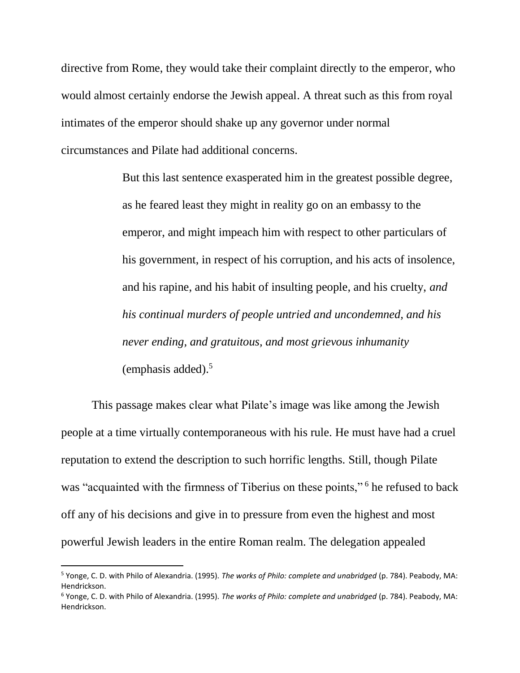directive from Rome, they would take their complaint directly to the emperor, who would almost certainly endorse the Jewish appeal. A threat such as this from royal intimates of the emperor should shake up any governor under normal circumstances and Pilate had additional concerns.

> But this last sentence exasperated him in the greatest possible degree, as he feared least they might in reality go on an embassy to the emperor, and might impeach him with respect to other particulars of his government, in respect of his corruption, and his acts of insolence, and his rapine, and his habit of insulting people, and his cruelty, *and his continual murders of people untried and uncondemned, and his never ending, and gratuitous, and most grievous inhumanity* (emphasis added). 5

This passage makes clear what Pilate's image was like among the Jewish people at a time virtually contemporaneous with his rule. He must have had a cruel reputation to extend the description to such horrific lengths. Still, though Pilate was "acquainted with the firmness of Tiberius on these points,"<sup>6</sup> he refused to back off any of his decisions and give in to pressure from even the highest and most powerful Jewish leaders in the entire Roman realm. The delegation appealed

 $\overline{a}$ 

<sup>5</sup> Yonge, C. D. with Philo of Alexandria. (1995). *The works of Philo: complete and unabridged* (p. 784). Peabody, MA: Hendrickson.

<sup>6</sup> Yonge, C. D. with Philo of Alexandria. (1995). *The works of Philo: complete and unabridged* (p. 784). Peabody, MA: Hendrickson.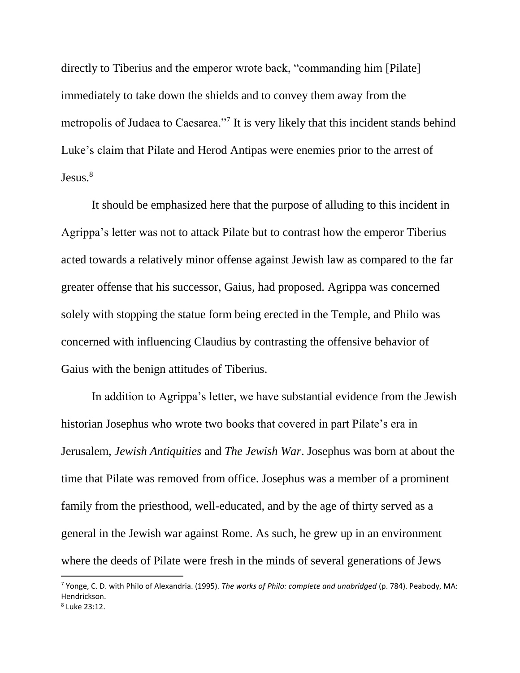directly to Tiberius and the emperor wrote back, "commanding him [Pilate] immediately to take down the shields and to convey them away from the metropolis of Judaea to Caesarea."<sup>7</sup> It is very likely that this incident stands behind Luke's claim that Pilate and Herod Antipas were enemies prior to the arrest of  $Jesus.<sup>8</sup>$ 

It should be emphasized here that the purpose of alluding to this incident in Agrippa's letter was not to attack Pilate but to contrast how the emperor Tiberius acted towards a relatively minor offense against Jewish law as compared to the far greater offense that his successor, Gaius, had proposed. Agrippa was concerned solely with stopping the statue form being erected in the Temple, and Philo was concerned with influencing Claudius by contrasting the offensive behavior of Gaius with the benign attitudes of Tiberius.

In addition to Agrippa's letter, we have substantial evidence from the Jewish historian Josephus who wrote two books that covered in part Pilate's era in Jerusalem, *Jewish Antiquities* and *The Jewish War*. Josephus was born at about the time that Pilate was removed from office. Josephus was a member of a prominent family from the priesthood, well-educated, and by the age of thirty served as a general in the Jewish war against Rome. As such, he grew up in an environment where the deeds of Pilate were fresh in the minds of several generations of Jews

<sup>7</sup> Yonge, C. D. with Philo of Alexandria. (1995). *The works of Philo: complete and unabridged* (p. 784). Peabody, MA: Hendrickson.

<sup>8</sup> Luke 23:12.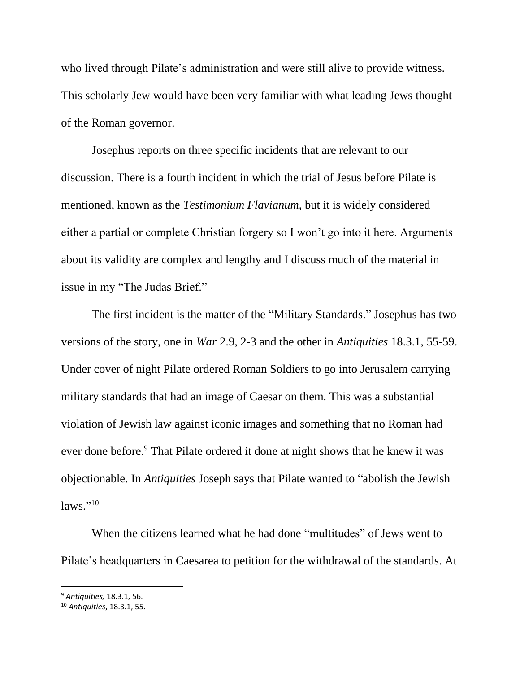who lived through Pilate's administration and were still alive to provide witness. This scholarly Jew would have been very familiar with what leading Jews thought of the Roman governor.

Josephus reports on three specific incidents that are relevant to our discussion. There is a fourth incident in which the trial of Jesus before Pilate is mentioned, known as the *Testimonium Flavianum*, but it is widely considered either a partial or complete Christian forgery so I won't go into it here. Arguments about its validity are complex and lengthy and I discuss much of the material in issue in my "The Judas Brief."

The first incident is the matter of the "Military Standards." Josephus has two versions of the story, one in *War* 2.9, 2-3 and the other in *Antiquities* 18.3.1, 55-59. Under cover of night Pilate ordered Roman Soldiers to go into Jerusalem carrying military standards that had an image of Caesar on them. This was a substantial violation of Jewish law against iconic images and something that no Roman had ever done before.<sup>9</sup> That Pilate ordered it done at night shows that he knew it was objectionable. In *Antiquities* Joseph says that Pilate wanted to "abolish the Jewish laws."<sup>10</sup>

When the citizens learned what he had done "multitudes" of Jews went to Pilate's headquarters in Caesarea to petition for the withdrawal of the standards. At

<sup>9</sup> *Antiquities,* 18.3.1, 56.

<sup>10</sup> *Antiquities*, 18.3.1, 55.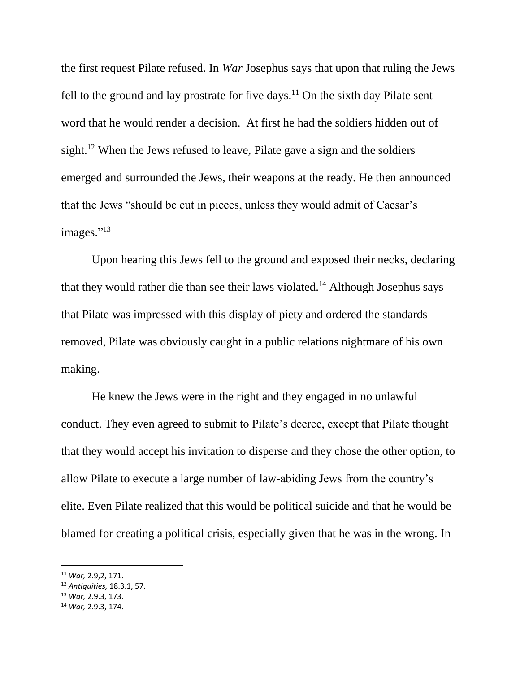the first request Pilate refused. In *War* Josephus says that upon that ruling the Jews fell to the ground and lay prostrate for five days.<sup>11</sup> On the sixth day Pilate sent word that he would render a decision. At first he had the soldiers hidden out of sight.<sup>12</sup> When the Jews refused to leave, Pilate gave a sign and the soldiers emerged and surrounded the Jews, their weapons at the ready. He then announced that the Jews "should be cut in pieces, unless they would admit of Caesar's images."<sup>13</sup>

Upon hearing this Jews fell to the ground and exposed their necks, declaring that they would rather die than see their laws violated.<sup>14</sup> Although Josephus says that Pilate was impressed with this display of piety and ordered the standards removed, Pilate was obviously caught in a public relations nightmare of his own making.

He knew the Jews were in the right and they engaged in no unlawful conduct. They even agreed to submit to Pilate's decree, except that Pilate thought that they would accept his invitation to disperse and they chose the other option, to allow Pilate to execute a large number of law-abiding Jews from the country's elite. Even Pilate realized that this would be political suicide and that he would be blamed for creating a political crisis, especially given that he was in the wrong. In

 $\overline{a}$ 

<sup>11</sup> *War,* 2.9,2, 171.

<sup>12</sup> *Antiquities,* 18.3.1, 57.

<sup>13</sup> *War,* 2.9.3, 173.

<sup>14</sup> *War,* 2.9.3, 174.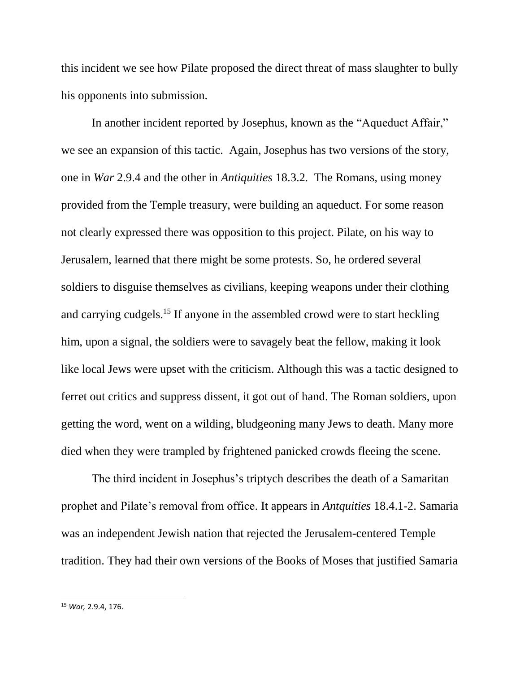this incident we see how Pilate proposed the direct threat of mass slaughter to bully his opponents into submission.

In another incident reported by Josephus, known as the "Aqueduct Affair," we see an expansion of this tactic. Again, Josephus has two versions of the story, one in *War* 2.9.4 and the other in *Antiquities* 18.3.2*.* The Romans, using money provided from the Temple treasury, were building an aqueduct. For some reason not clearly expressed there was opposition to this project. Pilate, on his way to Jerusalem, learned that there might be some protests. So, he ordered several soldiers to disguise themselves as civilians, keeping weapons under their clothing and carrying cudgels.<sup>15</sup> If anyone in the assembled crowd were to start heckling him, upon a signal, the soldiers were to savagely beat the fellow, making it look like local Jews were upset with the criticism. Although this was a tactic designed to ferret out critics and suppress dissent, it got out of hand. The Roman soldiers, upon getting the word, went on a wilding, bludgeoning many Jews to death. Many more died when they were trampled by frightened panicked crowds fleeing the scene.

The third incident in Josephus's triptych describes the death of a Samaritan prophet and Pilate's removal from office. It appears in *Antquities* 18.4.1-2. Samaria was an independent Jewish nation that rejected the Jerusalem-centered Temple tradition. They had their own versions of the Books of Moses that justified Samaria

<sup>15</sup> *War,* 2.9.4, 176.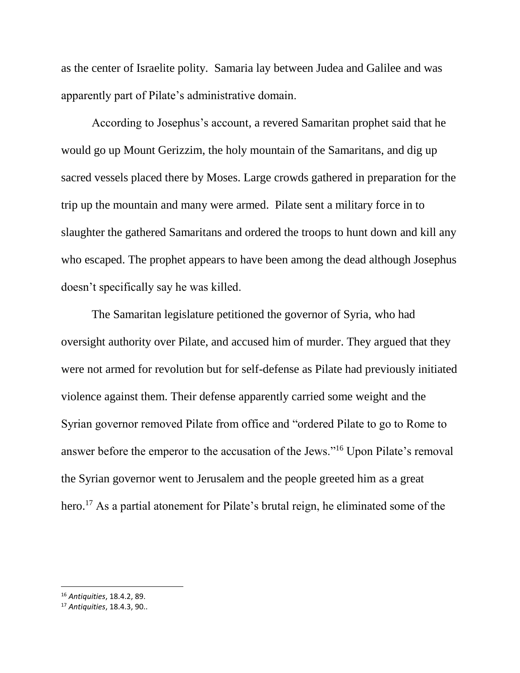as the center of Israelite polity. Samaria lay between Judea and Galilee and was apparently part of Pilate's administrative domain.

According to Josephus's account, a revered Samaritan prophet said that he would go up Mount Gerizzim, the holy mountain of the Samaritans, and dig up sacred vessels placed there by Moses. Large crowds gathered in preparation for the trip up the mountain and many were armed. Pilate sent a military force in to slaughter the gathered Samaritans and ordered the troops to hunt down and kill any who escaped. The prophet appears to have been among the dead although Josephus doesn't specifically say he was killed.

The Samaritan legislature petitioned the governor of Syria, who had oversight authority over Pilate, and accused him of murder. They argued that they were not armed for revolution but for self-defense as Pilate had previously initiated violence against them. Their defense apparently carried some weight and the Syrian governor removed Pilate from office and "ordered Pilate to go to Rome to answer before the emperor to the accusation of the Jews."<sup>16</sup> Upon Pilate's removal the Syrian governor went to Jerusalem and the people greeted him as a great hero.<sup>17</sup> As a partial atonement for Pilate's brutal reign, he eliminated some of the

<sup>16</sup> *Antiquities*, 18.4.2, 89.

<sup>17</sup> *Antiquities*, 18.4.3, 90..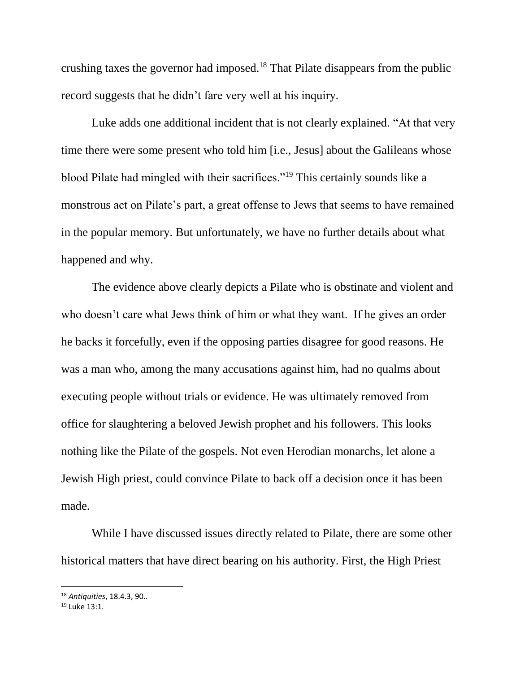crushing taxes the governor had imposed.<sup>18</sup> That Pilate disappears from the public record suggests that he didn't fare very well at his inquiry.

Luke adds one additional incident that is not clearly explained. "At that very time there were some present who told him [i.e., Jesus] about the Galileans whose blood Pilate had mingled with their sacrifices."<sup>19</sup> This certainly sounds like a monstrous act on Pilate's part, a great offense to Jews that seems to have remained in the popular memory. But unfortunately, we have no further details about what happened and why.

The evidence above clearly depicts a Pilate who is obstinate and violent and who doesn't care what Jews think of him or what they want. If he gives an order he backs it forcefully, even if the opposing parties disagree for good reasons. He was a man who, among the many accusations against him, had no qualms about executing people without trials or evidence. He was ultimately removed from office for slaughtering a beloved Jewish prophet and his followers. This looks nothing like the Pilate of the gospels. Not even Herodian monarchs, let alone a Jewish High priest, could convince Pilate to back off a decision once it has been made.

While I have discussed issues directly related to Pilate, there are some other historical matters that have direct bearing on his authority. First, the High Priest

<sup>18</sup> *Antiquities*, 18.4.3, 90..

<sup>19</sup> Luke 13:1.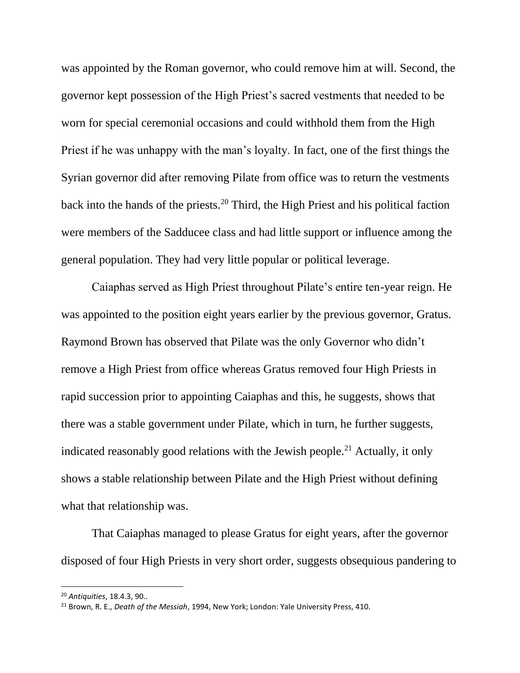was appointed by the Roman governor, who could remove him at will. Second, the governor kept possession of the High Priest's sacred vestments that needed to be worn for special ceremonial occasions and could withhold them from the High Priest if he was unhappy with the man's loyalty. In fact, one of the first things the Syrian governor did after removing Pilate from office was to return the vestments back into the hands of the priests.<sup>20</sup> Third, the High Priest and his political faction were members of the Sadducee class and had little support or influence among the general population. They had very little popular or political leverage.

Caiaphas served as High Priest throughout Pilate's entire ten-year reign. He was appointed to the position eight years earlier by the previous governor, Gratus. Raymond Brown has observed that Pilate was the only Governor who didn't remove a High Priest from office whereas Gratus removed four High Priests in rapid succession prior to appointing Caiaphas and this, he suggests, shows that there was a stable government under Pilate, which in turn, he further suggests, indicated reasonably good relations with the Jewish people.<sup>21</sup> Actually, it only shows a stable relationship between Pilate and the High Priest without defining what that relationship was.

That Caiaphas managed to please Gratus for eight years, after the governor disposed of four High Priests in very short order, suggests obsequious pandering to

<sup>20</sup> *Antiquities*, 18.4.3, 90..

<sup>21</sup> Brown, R. E., *Death of the Messiah*, 1994, New York; London: Yale University Press, 410.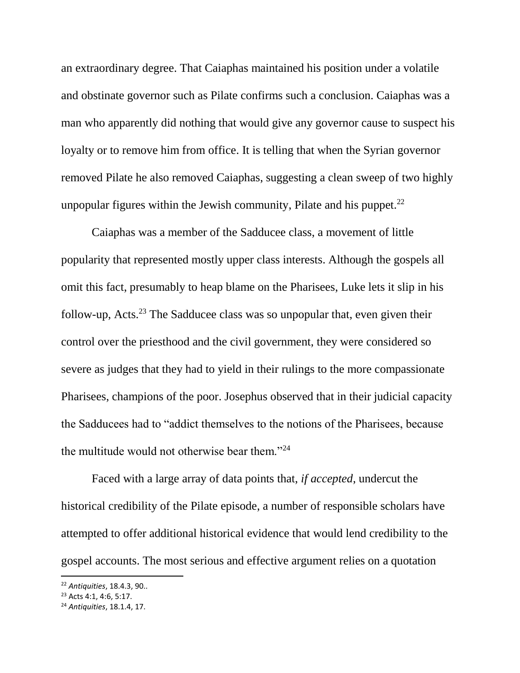an extraordinary degree. That Caiaphas maintained his position under a volatile and obstinate governor such as Pilate confirms such a conclusion. Caiaphas was a man who apparently did nothing that would give any governor cause to suspect his loyalty or to remove him from office. It is telling that when the Syrian governor removed Pilate he also removed Caiaphas, suggesting a clean sweep of two highly unpopular figures within the Jewish community, Pilate and his puppet.<sup>22</sup>

Caiaphas was a member of the Sadducee class, a movement of little popularity that represented mostly upper class interests. Although the gospels all omit this fact, presumably to heap blame on the Pharisees, Luke lets it slip in his follow-up, Acts.<sup>23</sup> The Sadducee class was so unpopular that, even given their control over the priesthood and the civil government, they were considered so severe as judges that they had to yield in their rulings to the more compassionate Pharisees, champions of the poor. Josephus observed that in their judicial capacity the Sadducees had to "addict themselves to the notions of the Pharisees, because the multitude would not otherwise bear them."<sup>24</sup>

Faced with a large array of data points that, *if accepted*, undercut the historical credibility of the Pilate episode, a number of responsible scholars have attempted to offer additional historical evidence that would lend credibility to the gospel accounts. The most serious and effective argument relies on a quotation

<sup>22</sup> *Antiquities*, 18.4.3, 90..

<sup>23</sup> Acts 4:1, 4:6, 5:17.

<sup>24</sup> *Antiquities*, 18.1.4, 17.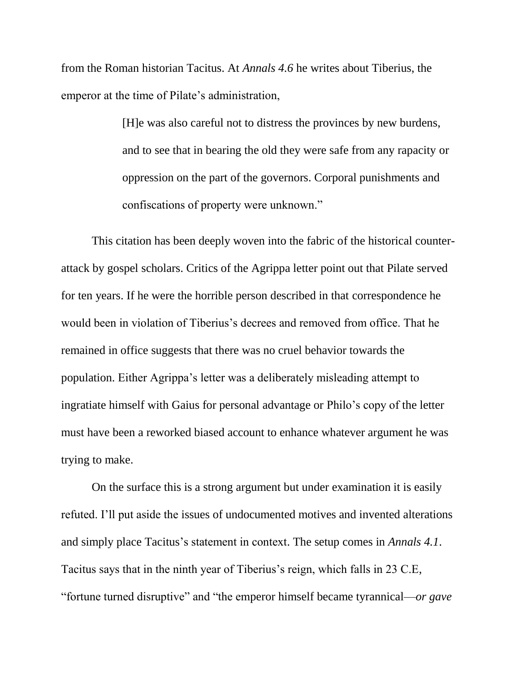from the Roman historian Tacitus. At *Annals 4.6* he writes about Tiberius, the emperor at the time of Pilate's administration,

> [H]e was also careful not to distress the provinces by new burdens, and to see that in bearing the old they were safe from any rapacity or oppression on the part of the governors. Corporal punishments and confiscations of property were unknown."

This citation has been deeply woven into the fabric of the historical counterattack by gospel scholars. Critics of the Agrippa letter point out that Pilate served for ten years. If he were the horrible person described in that correspondence he would been in violation of Tiberius's decrees and removed from office. That he remained in office suggests that there was no cruel behavior towards the population. Either Agrippa's letter was a deliberately misleading attempt to ingratiate himself with Gaius for personal advantage or Philo's copy of the letter must have been a reworked biased account to enhance whatever argument he was trying to make.

On the surface this is a strong argument but under examination it is easily refuted. I'll put aside the issues of undocumented motives and invented alterations and simply place Tacitus's statement in context. The setup comes in *Annals 4.1*. Tacitus says that in the ninth year of Tiberius's reign, which falls in 23 C.E, "fortune turned disruptive" and "the emperor himself became tyrannical—*or gave*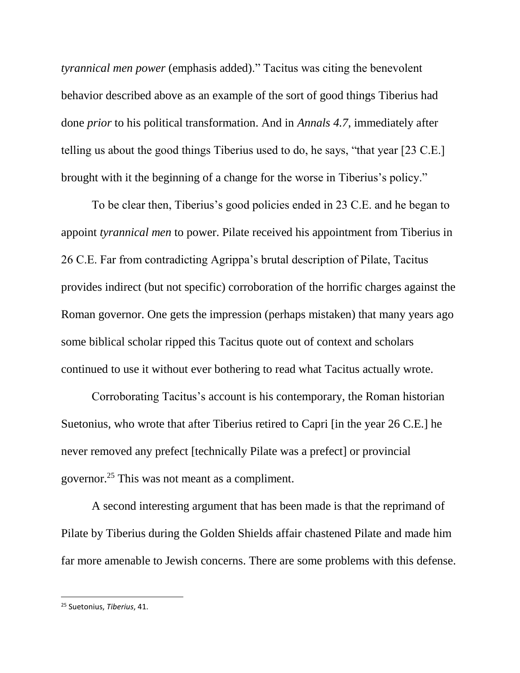*tyrannical men power* (emphasis added)." Tacitus was citing the benevolent behavior described above as an example of the sort of good things Tiberius had done *prior* to his political transformation. And in *Annals 4.7*, immediately after telling us about the good things Tiberius used to do, he says, "that year [23 C.E.] brought with it the beginning of a change for the worse in Tiberius's policy."

To be clear then, Tiberius's good policies ended in 23 C.E. and he began to appoint *tyrannical men* to power. Pilate received his appointment from Tiberius in 26 C.E. Far from contradicting Agrippa's brutal description of Pilate, Tacitus provides indirect (but not specific) corroboration of the horrific charges against the Roman governor. One gets the impression (perhaps mistaken) that many years ago some biblical scholar ripped this Tacitus quote out of context and scholars continued to use it without ever bothering to read what Tacitus actually wrote.

Corroborating Tacitus's account is his contemporary, the Roman historian Suetonius, who wrote that after Tiberius retired to Capri [in the year 26 C.E.] he never removed any prefect [technically Pilate was a prefect] or provincial governor.<sup>25</sup> This was not meant as a compliment.

A second interesting argument that has been made is that the reprimand of Pilate by Tiberius during the Golden Shields affair chastened Pilate and made him far more amenable to Jewish concerns. There are some problems with this defense.

<sup>25</sup> Suetonius, *Tiberius*, 41.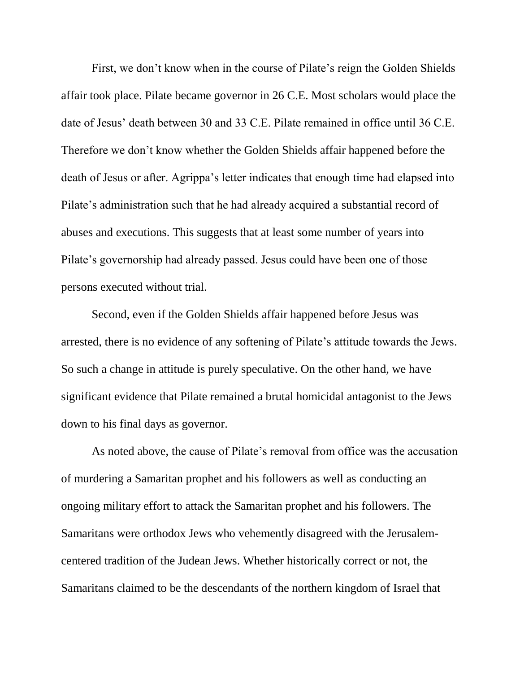First, we don't know when in the course of Pilate's reign the Golden Shields affair took place. Pilate became governor in 26 C.E. Most scholars would place the date of Jesus' death between 30 and 33 C.E. Pilate remained in office until 36 C.E. Therefore we don't know whether the Golden Shields affair happened before the death of Jesus or after. Agrippa's letter indicates that enough time had elapsed into Pilate's administration such that he had already acquired a substantial record of abuses and executions. This suggests that at least some number of years into Pilate's governorship had already passed. Jesus could have been one of those persons executed without trial.

Second, even if the Golden Shields affair happened before Jesus was arrested, there is no evidence of any softening of Pilate's attitude towards the Jews. So such a change in attitude is purely speculative. On the other hand, we have significant evidence that Pilate remained a brutal homicidal antagonist to the Jews down to his final days as governor.

As noted above, the cause of Pilate's removal from office was the accusation of murdering a Samaritan prophet and his followers as well as conducting an ongoing military effort to attack the Samaritan prophet and his followers. The Samaritans were orthodox Jews who vehemently disagreed with the Jerusalemcentered tradition of the Judean Jews. Whether historically correct or not, the Samaritans claimed to be the descendants of the northern kingdom of Israel that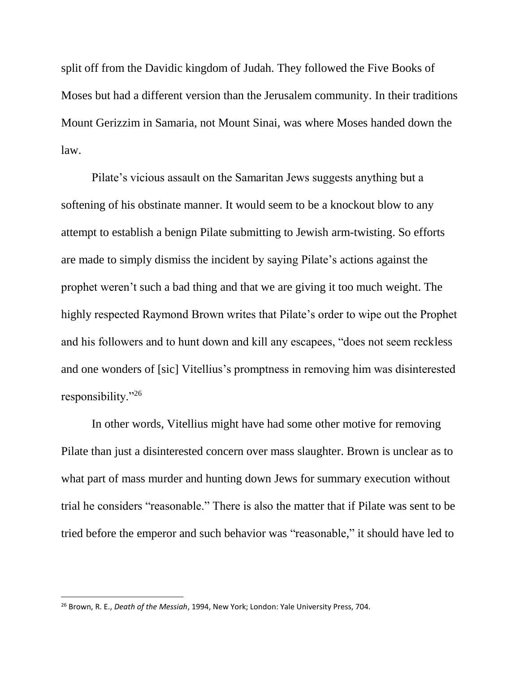split off from the Davidic kingdom of Judah. They followed the Five Books of Moses but had a different version than the Jerusalem community. In their traditions Mount Gerizzim in Samaria, not Mount Sinai, was where Moses handed down the law.

Pilate's vicious assault on the Samaritan Jews suggests anything but a softening of his obstinate manner. It would seem to be a knockout blow to any attempt to establish a benign Pilate submitting to Jewish arm-twisting. So efforts are made to simply dismiss the incident by saying Pilate's actions against the prophet weren't such a bad thing and that we are giving it too much weight. The highly respected Raymond Brown writes that Pilate's order to wipe out the Prophet and his followers and to hunt down and kill any escapees, "does not seem reckless and one wonders of [sic] Vitellius's promptness in removing him was disinterested responsibility."<sup>26</sup>

In other words, Vitellius might have had some other motive for removing Pilate than just a disinterested concern over mass slaughter. Brown is unclear as to what part of mass murder and hunting down Jews for summary execution without trial he considers "reasonable." There is also the matter that if Pilate was sent to be tried before the emperor and such behavior was "reasonable," it should have led to

<sup>26</sup> Brown, R. E., *Death of the Messiah*, 1994, New York; London: Yale University Press, 704.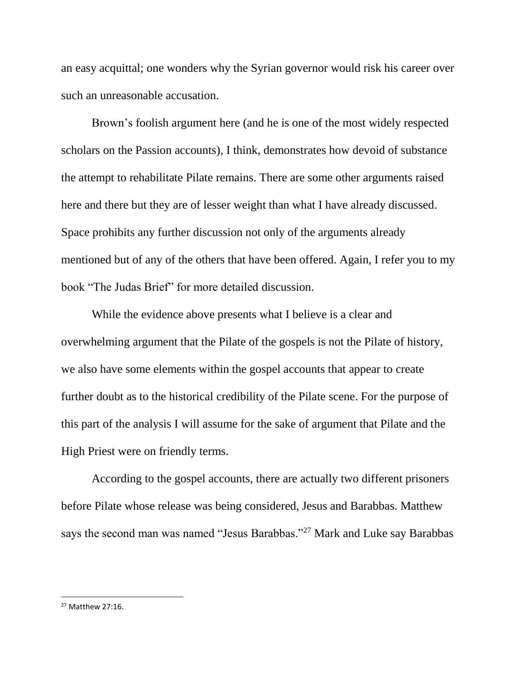an easy acquittal; one wonders why the Syrian governor would risk his career over such an unreasonable accusation.

Brown's foolish argument here (and he is one of the most widely respected scholars on the Passion accounts), I think, demonstrates how devoid of substance the attempt to rehabilitate Pilate remains. There are some other arguments raised here and there but they are of lesser weight than what I have already discussed. Space prohibits any further discussion not only of the arguments already mentioned but of any of the others that have been offered. Again, I refer you to my book "The Judas Brief" for more detailed discussion.

While the evidence above presents what I believe is a clear and overwhelming argument that the Pilate of the gospels is not the Pilate of history, we also have some elements within the gospel accounts that appear to create further doubt as to the historical credibility of the Pilate scene. For the purpose of this part of the analysis I will assume for the sake of argument that Pilate and the High Priest were on friendly terms.

According to the gospel accounts, there are actually two different prisoners before Pilate whose release was being considered, Jesus and Barabbas. Matthew says the second man was named "Jesus Barabbas."<sup>27</sup> Mark and Luke say Barabbas

 $27$  Matthew  $27.16$ .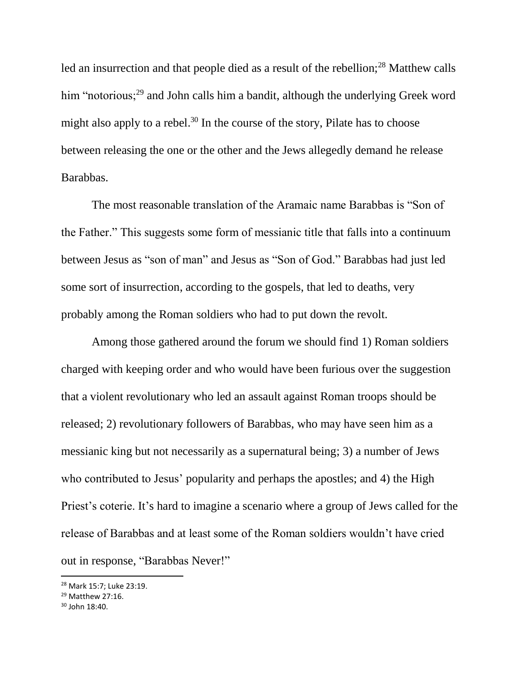led an insurrection and that people died as a result of the rebellion;<sup>28</sup> Matthew calls him "notorious;<sup>29</sup> and John calls him a bandit, although the underlying Greek word might also apply to a rebel.<sup>30</sup> In the course of the story, Pilate has to choose between releasing the one or the other and the Jews allegedly demand he release Barabbas.

The most reasonable translation of the Aramaic name Barabbas is "Son of the Father." This suggests some form of messianic title that falls into a continuum between Jesus as "son of man" and Jesus as "Son of God." Barabbas had just led some sort of insurrection, according to the gospels, that led to deaths, very probably among the Roman soldiers who had to put down the revolt.

Among those gathered around the forum we should find 1) Roman soldiers charged with keeping order and who would have been furious over the suggestion that a violent revolutionary who led an assault against Roman troops should be released; 2) revolutionary followers of Barabbas, who may have seen him as a messianic king but not necessarily as a supernatural being; 3) a number of Jews who contributed to Jesus' popularity and perhaps the apostles; and 4) the High Priest's coterie. It's hard to imagine a scenario where a group of Jews called for the release of Barabbas and at least some of the Roman soldiers wouldn't have cried out in response, "Barabbas Never!"

<sup>28</sup> Mark 15:7; Luke 23:19.

<sup>&</sup>lt;sup>29</sup> Matthew 27:16.

<sup>30</sup> John 18:40.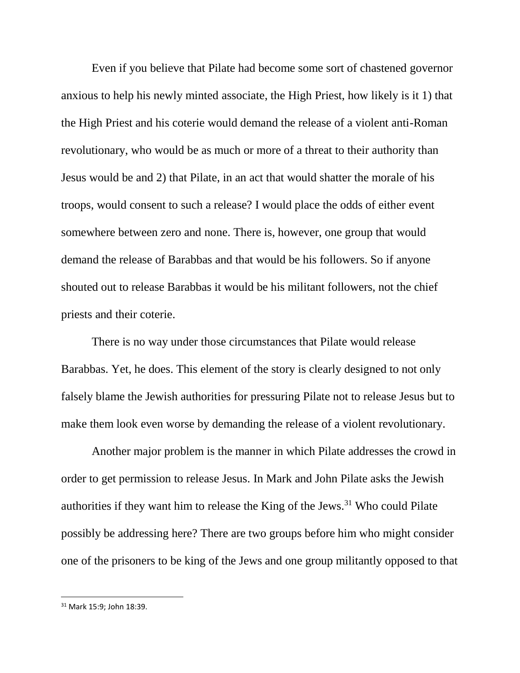Even if you believe that Pilate had become some sort of chastened governor anxious to help his newly minted associate, the High Priest, how likely is it 1) that the High Priest and his coterie would demand the release of a violent anti-Roman revolutionary, who would be as much or more of a threat to their authority than Jesus would be and 2) that Pilate, in an act that would shatter the morale of his troops, would consent to such a release? I would place the odds of either event somewhere between zero and none. There is, however, one group that would demand the release of Barabbas and that would be his followers. So if anyone shouted out to release Barabbas it would be his militant followers, not the chief priests and their coterie.

There is no way under those circumstances that Pilate would release Barabbas. Yet, he does. This element of the story is clearly designed to not only falsely blame the Jewish authorities for pressuring Pilate not to release Jesus but to make them look even worse by demanding the release of a violent revolutionary.

Another major problem is the manner in which Pilate addresses the crowd in order to get permission to release Jesus. In Mark and John Pilate asks the Jewish authorities if they want him to release the King of the Jews.<sup>31</sup> Who could Pilate possibly be addressing here? There are two groups before him who might consider one of the prisoners to be king of the Jews and one group militantly opposed to that

<sup>31</sup> Mark 15:9; John 18:39.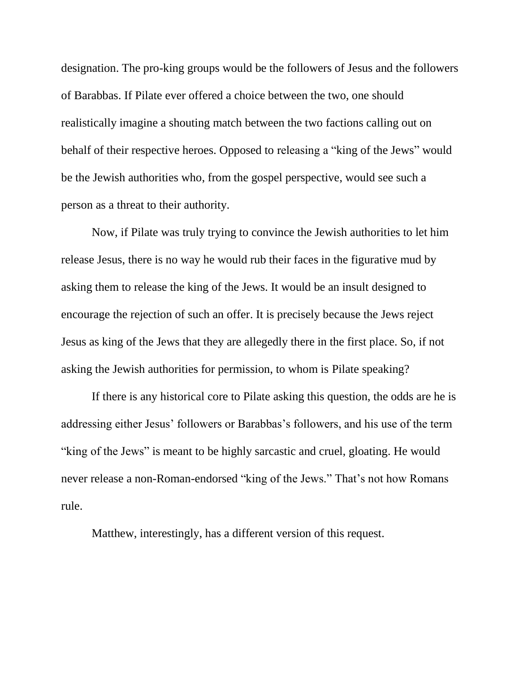designation. The pro-king groups would be the followers of Jesus and the followers of Barabbas. If Pilate ever offered a choice between the two, one should realistically imagine a shouting match between the two factions calling out on behalf of their respective heroes. Opposed to releasing a "king of the Jews" would be the Jewish authorities who, from the gospel perspective, would see such a person as a threat to their authority.

Now, if Pilate was truly trying to convince the Jewish authorities to let him release Jesus, there is no way he would rub their faces in the figurative mud by asking them to release the king of the Jews. It would be an insult designed to encourage the rejection of such an offer. It is precisely because the Jews reject Jesus as king of the Jews that they are allegedly there in the first place. So, if not asking the Jewish authorities for permission, to whom is Pilate speaking?

If there is any historical core to Pilate asking this question, the odds are he is addressing either Jesus' followers or Barabbas's followers, and his use of the term "king of the Jews" is meant to be highly sarcastic and cruel, gloating. He would never release a non-Roman-endorsed "king of the Jews." That's not how Romans rule.

Matthew, interestingly, has a different version of this request.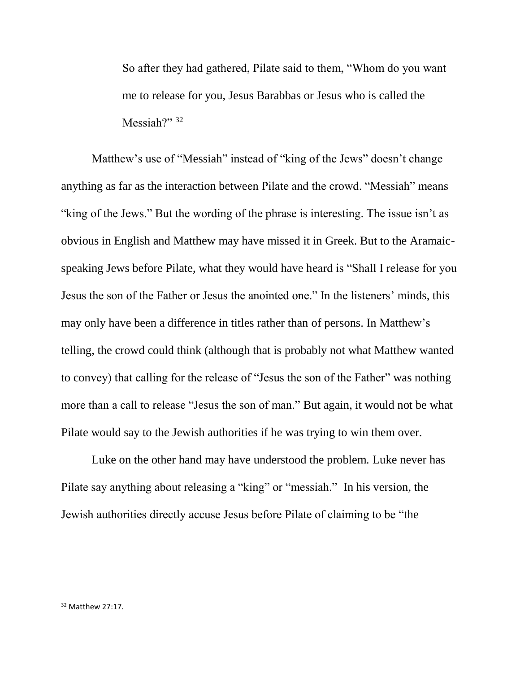So after they had gathered, Pilate said to them, "Whom do you want me to release for you, Jesus Barabbas or Jesus who is called the Messiah?" $32$ 

Matthew's use of "Messiah" instead of "king of the Jews" doesn't change anything as far as the interaction between Pilate and the crowd. "Messiah" means "king of the Jews." But the wording of the phrase is interesting. The issue isn't as obvious in English and Matthew may have missed it in Greek. But to the Aramaicspeaking Jews before Pilate, what they would have heard is "Shall I release for you Jesus the son of the Father or Jesus the anointed one." In the listeners' minds, this may only have been a difference in titles rather than of persons. In Matthew's telling, the crowd could think (although that is probably not what Matthew wanted to convey) that calling for the release of "Jesus the son of the Father" was nothing more than a call to release "Jesus the son of man." But again, it would not be what Pilate would say to the Jewish authorities if he was trying to win them over.

Luke on the other hand may have understood the problem. Luke never has Pilate say anything about releasing a "king" or "messiah." In his version, the Jewish authorities directly accuse Jesus before Pilate of claiming to be "the

<sup>32</sup> Matthew 27:17.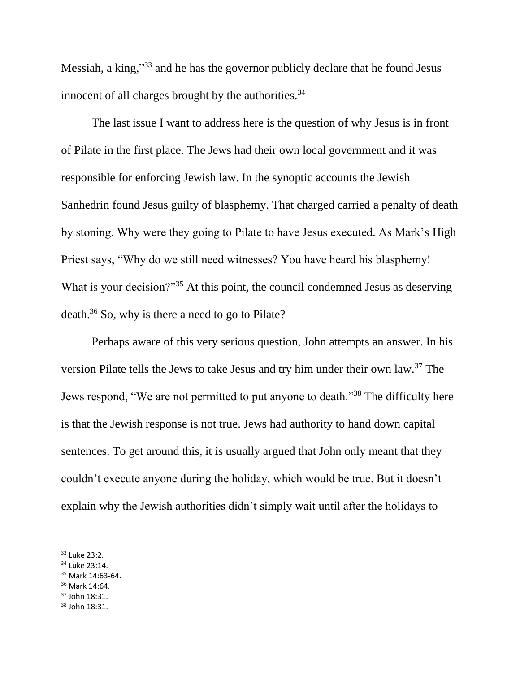Messiah, a king,"<sup>33</sup> and he has the governor publicly declare that he found Jesus innocent of all charges brought by the authorities. $34$ 

The last issue I want to address here is the question of why Jesus is in front of Pilate in the first place. The Jews had their own local government and it was responsible for enforcing Jewish law. In the synoptic accounts the Jewish Sanhedrin found Jesus guilty of blasphemy. That charged carried a penalty of death by stoning. Why were they going to Pilate to have Jesus executed. As Mark's High Priest says, "Why do we still need witnesses? You have heard his blasphemy! What is your decision?"<sup>35</sup> At this point, the council condemned Jesus as deserving death.<sup>36</sup> So, why is there a need to go to Pilate?

Perhaps aware of this very serious question, John attempts an answer. In his version Pilate tells the Jews to take Jesus and try him under their own law.<sup>37</sup> The Jews respond, "We are not permitted to put anyone to death."<sup>38</sup> The difficulty here is that the Jewish response is not true. Jews had authority to hand down capital sentences. To get around this, it is usually argued that John only meant that they couldn't execute anyone during the holiday, which would be true. But it doesn't explain why the Jewish authorities didn't simply wait until after the holidays to

 $\overline{a}$ 

- <sup>35</sup> Mark 14:63-64.
- <sup>36</sup> Mark 14:64.
- <sup>37</sup> John 18:31.
- <sup>38</sup> John 18:31.

<sup>33</sup> Luke 23:2.

<sup>34</sup> Luke 23:14.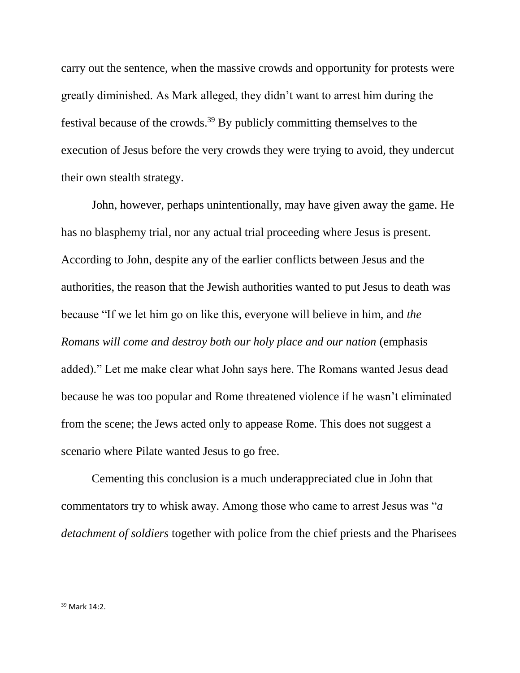carry out the sentence, when the massive crowds and opportunity for protests were greatly diminished. As Mark alleged, they didn't want to arrest him during the festival because of the crowds.<sup>39</sup> By publicly committing themselves to the execution of Jesus before the very crowds they were trying to avoid, they undercut their own stealth strategy.

John, however, perhaps unintentionally, may have given away the game. He has no blasphemy trial, nor any actual trial proceeding where Jesus is present. According to John, despite any of the earlier conflicts between Jesus and the authorities, the reason that the Jewish authorities wanted to put Jesus to death was because "If we let him go on like this, everyone will believe in him, and *the Romans will come and destroy both our holy place and our nation* (emphasis added)." Let me make clear what John says here. The Romans wanted Jesus dead because he was too popular and Rome threatened violence if he wasn't eliminated from the scene; the Jews acted only to appease Rome. This does not suggest a scenario where Pilate wanted Jesus to go free.

Cementing this conclusion is a much underappreciated clue in John that commentators try to whisk away. Among those who came to arrest Jesus was "*a detachment of soldiers* together with police from the chief priests and the Pharisees

 $39$  Mark  $14.2$ .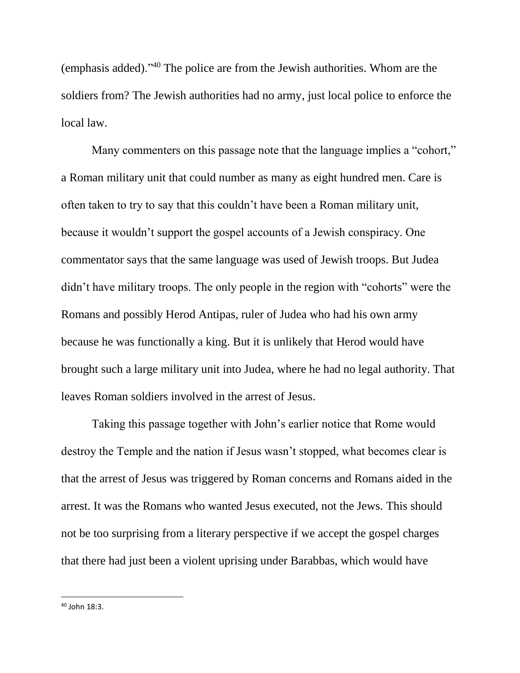(emphasis added)."<sup>40</sup> The police are from the Jewish authorities. Whom are the soldiers from? The Jewish authorities had no army, just local police to enforce the local law.

Many commenters on this passage note that the language implies a "cohort," a Roman military unit that could number as many as eight hundred men. Care is often taken to try to say that this couldn't have been a Roman military unit, because it wouldn't support the gospel accounts of a Jewish conspiracy. One commentator says that the same language was used of Jewish troops. But Judea didn't have military troops. The only people in the region with "cohorts" were the Romans and possibly Herod Antipas, ruler of Judea who had his own army because he was functionally a king. But it is unlikely that Herod would have brought such a large military unit into Judea, where he had no legal authority. That leaves Roman soldiers involved in the arrest of Jesus.

Taking this passage together with John's earlier notice that Rome would destroy the Temple and the nation if Jesus wasn't stopped, what becomes clear is that the arrest of Jesus was triggered by Roman concerns and Romans aided in the arrest. It was the Romans who wanted Jesus executed, not the Jews. This should not be too surprising from a literary perspective if we accept the gospel charges that there had just been a violent uprising under Barabbas, which would have

 $40$  John 18:3.